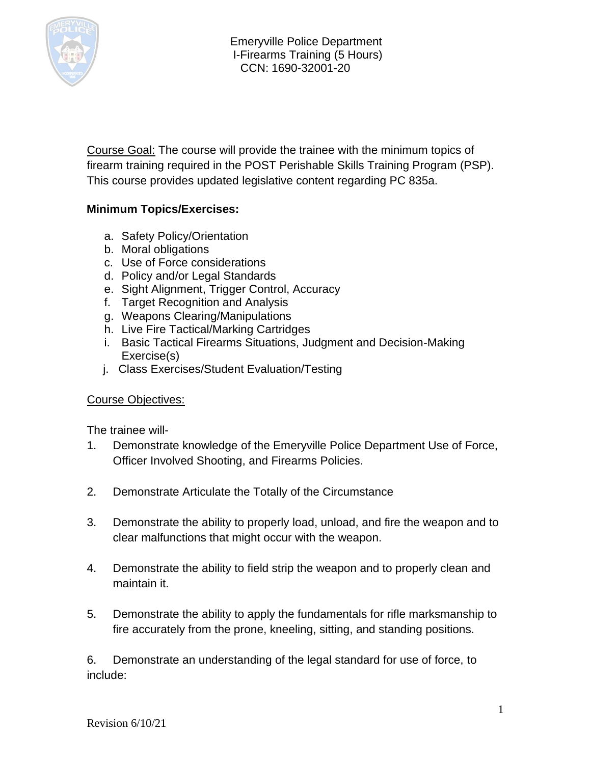

Course Goal: The course will provide the trainee with the minimum topics of firearm training required in the POST Perishable Skills Training Program (PSP). This course provides updated legislative content regarding PC 835a.

## **Minimum Topics/Exercises:**

- a. Safety Policy/Orientation
- b. Moral obligations
- c. Use of Force considerations
- d. Policy and/or Legal Standards
- e. Sight Alignment, Trigger Control, Accuracy
- f. Target Recognition and Analysis
- g. Weapons Clearing/Manipulations
- h. Live Fire Tactical/Marking Cartridges
- i. Basic Tactical Firearms Situations, Judgment and Decision-Making Exercise(s)
- j. Class Exercises/Student Evaluation/Testing

## Course Objectives:

The trainee will-

- 1. Demonstrate knowledge of the Emeryville Police Department Use of Force, Officer Involved Shooting, and Firearms Policies.
- 2. Demonstrate Articulate the Totally of the Circumstance
- 3. Demonstrate the ability to properly load, unload, and fire the weapon and to clear malfunctions that might occur with the weapon.
- 4. Demonstrate the ability to field strip the weapon and to properly clean and maintain it.
- 5. Demonstrate the ability to apply the fundamentals for rifle marksmanship to fire accurately from the prone, kneeling, sitting, and standing positions.

6. Demonstrate an understanding of the legal standard for use of force, to include: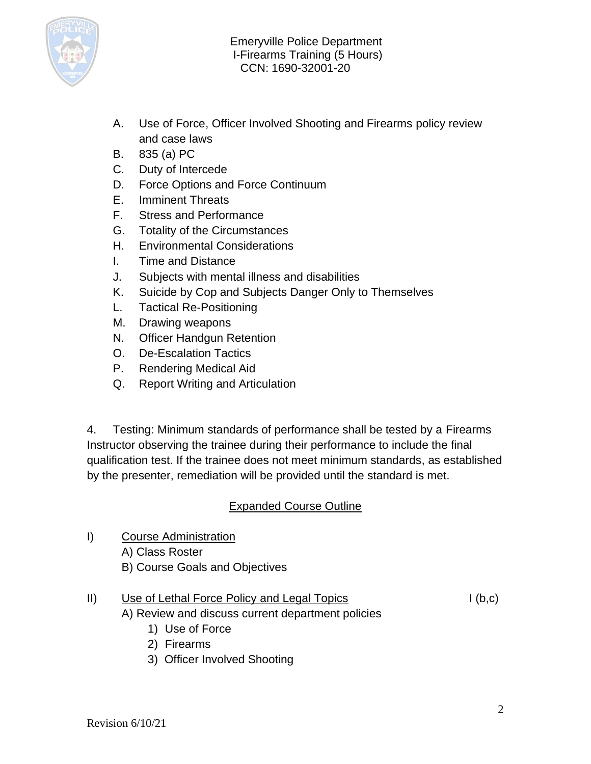

- A. Use of Force, Officer Involved Shooting and Firearms policy review and case laws
- B. 835 (a) PC
- C. Duty of Intercede
- D. Force Options and Force Continuum
- E. Imminent Threats
- F. Stress and Performance
- G. Totality of the Circumstances
- H. Environmental Considerations
- I. Time and Distance
- J. Subjects with mental illness and disabilities
- K. Suicide by Cop and Subjects Danger Only to Themselves
- L. Tactical Re-Positioning
- M. Drawing weapons
- N. Officer Handgun Retention
- O. De-Escalation Tactics
- P. Rendering Medical Aid
- Q. Report Writing and Articulation

4. Testing: Minimum standards of performance shall be tested by a Firearms Instructor observing the trainee during their performance to include the final qualification test. If the trainee does not meet minimum standards, as established by the presenter, remediation will be provided until the standard is met.

## Expanded Course Outline

I) Course Administration A) Class Roster B) Course Goals and Objectives

# II) Use of Lethal Force Policy and Legal Topics I (b,c)

- A) Review and discuss current department policies
	- 1) Use of Force
	- 2) Firearms
	- 3) Officer Involved Shooting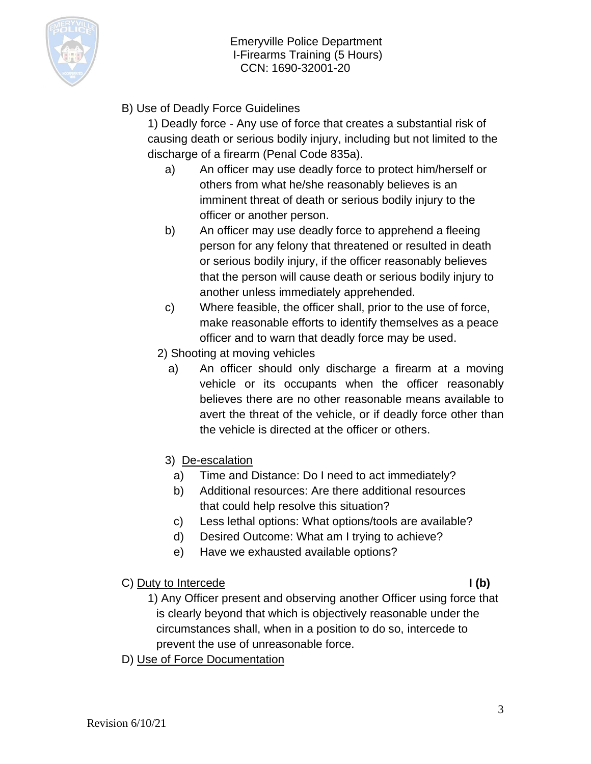

B) Use of Deadly Force Guidelines

1) Deadly force - Any use of force that creates a substantial risk of causing death or serious bodily injury, including but not limited to the discharge of a firearm (Penal Code 835a).

- a) An officer may use deadly force to protect him/herself or others from what he/she reasonably believes is an imminent threat of death or serious bodily injury to the officer or another person.
- b) An officer may use deadly force to apprehend a fleeing person for any felony that threatened or resulted in death or serious bodily injury, if the officer reasonably believes that the person will cause death or serious bodily injury to another unless immediately apprehended.
- c) Where feasible, the officer shall, prior to the use of force, make reasonable efforts to identify themselves as a peace officer and to warn that deadly force may be used.
- 2) Shooting at moving vehicles
	- a) An officer should only discharge a firearm at a moving vehicle or its occupants when the officer reasonably believes there are no other reasonable means available to avert the threat of the vehicle, or if deadly force other than the vehicle is directed at the officer or others.
	- 3) De-escalation
		- a) Time and Distance: Do I need to act immediately?
		- b) Additional resources: Are there additional resources that could help resolve this situation?
		- c) Less lethal options: What options/tools are available?
		- d) Desired Outcome: What am I trying to achieve?
		- e) Have we exhausted available options?
- C) Duty to Intercede **I (b)**

- 1) Any Officer present and observing another Officer using force that is clearly beyond that which is objectively reasonable under the circumstances shall, when in a position to do so, intercede to prevent the use of unreasonable force.
- D) Use of Force Documentation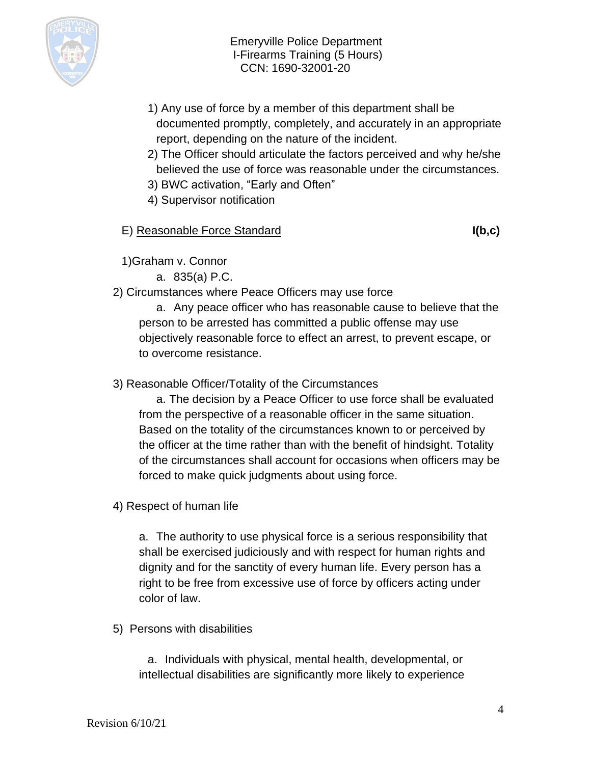

- 1) Any use of force by a member of this department shall be documented promptly, completely, and accurately in an appropriate report, depending on the nature of the incident.
- 2) The Officer should articulate the factors perceived and why he/she believed the use of force was reasonable under the circumstances.
- 3) BWC activation, "Early and Often"
- 4) Supervisor notification

## E) Reasonable Force Standard **I(b,c)**

1)Graham v. Connor

a. 835(a) P.C.

## 2) Circumstances where Peace Officers may use force

a. Any peace officer who has reasonable cause to believe that the person to be arrested has committed a public offense may use objectively reasonable force to effect an arrest, to prevent escape, or to overcome resistance.

## 3) Reasonable Officer/Totality of the Circumstances

a. The decision by a Peace Officer to use force shall be evaluated from the perspective of a reasonable officer in the same situation. Based on the totality of the circumstances known to or perceived by the officer at the time rather than with the benefit of hindsight. Totality of the circumstances shall account for occasions when officers may be forced to make quick judgments about using force.

4) Respect of human life

a. The authority to use physical force is a serious responsibility that shall be exercised judiciously and with respect for human rights and dignity and for the sanctity of every human life. Every person has a right to be free from excessive use of force by officers acting under color of law.

5) Persons with disabilities

a. Individuals with physical, mental health, developmental, or intellectual disabilities are significantly more likely to experience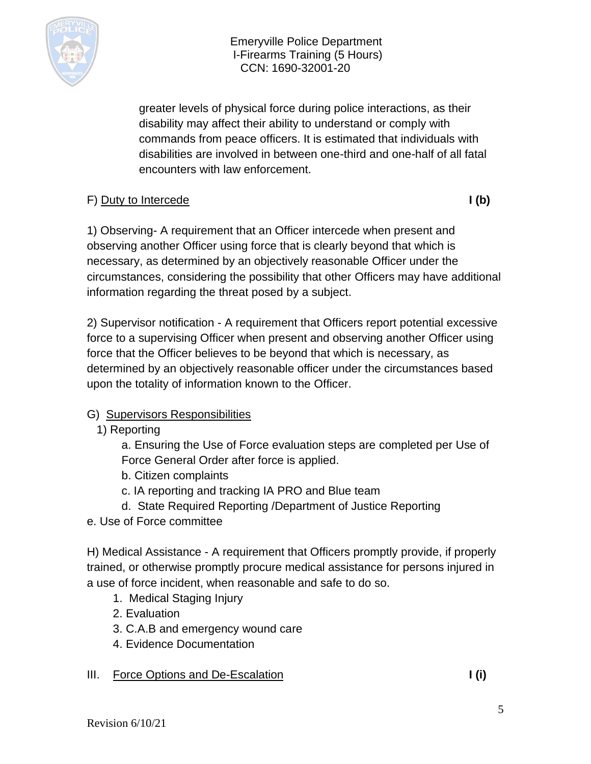

greater levels of physical force during police interactions, as their disability may affect their ability to understand or comply with commands from peace officers. It is estimated that individuals with disabilities are involved in between one-third and one-half of all fatal encounters with law enforcement.

# F) Duty to Intercede **I** (b)

1) Observing- A requirement that an Officer intercede when present and observing another Officer using force that is clearly beyond that which is necessary, as determined by an objectively reasonable Officer under the circumstances, considering the possibility that other Officers may have additional information regarding the threat posed by a subject.

2) Supervisor notification - A requirement that Officers report potential excessive force to a supervising Officer when present and observing another Officer using force that the Officer believes to be beyond that which is necessary, as determined by an objectively reasonable officer under the circumstances based upon the totality of information known to the Officer.

# G) Supervisors Responsibilities

1) Reporting

a. Ensuring the Use of Force evaluation steps are completed per Use of Force General Order after force is applied.

- b. Citizen complaints
- c. IA reporting and tracking IA PRO and Blue team
- d. State Required Reporting /Department of Justice Reporting
- e. Use of Force committee

H) Medical Assistance - A requirement that Officers promptly provide, if properly trained, or otherwise promptly procure medical assistance for persons injured in a use of force incident, when reasonable and safe to do so.

- 1. Medical Staging Injury
- 2. Evaluation
- 3. C.A.B and emergency wound care
- 4. Evidence Documentation

# III. Force Options and De-Escalation **I (i) I** (i)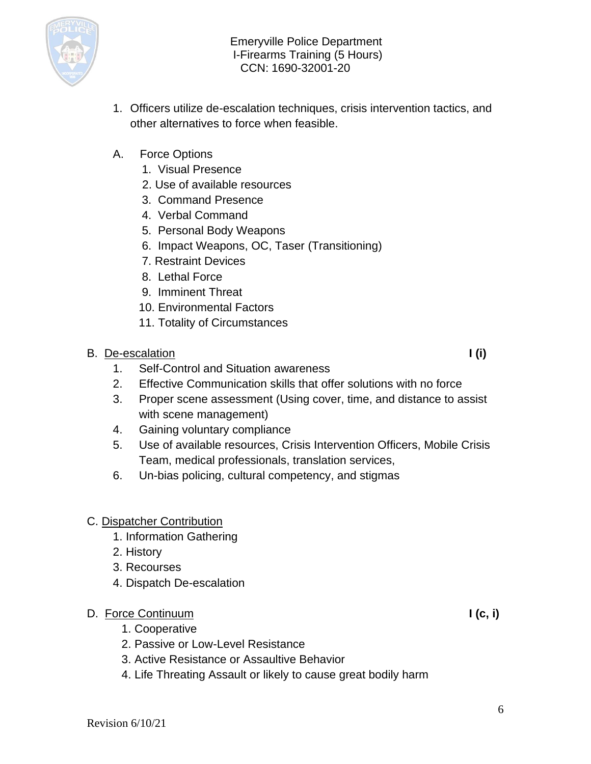

- 1. Officers utilize de-escalation techniques, crisis intervention tactics, and other alternatives to force when feasible.
- A. Force Options
	- 1. Visual Presence
	- 2. Use of available resources
	- 3. Command Presence
	- 4. Verbal Command
	- 5. Personal Body Weapons
	- 6. Impact Weapons, OC, Taser (Transitioning)
	- 7. Restraint Devices
	- 8. Lethal Force
	- 9. Imminent Threat
	- 10. Environmental Factors
	- 11. Totality of Circumstances

## B. De-escalation **I** (i)

- 1. Self-Control and Situation awareness
- 2. Effective Communication skills that offer solutions with no force
- 3. Proper scene assessment (Using cover, time, and distance to assist with scene management)
- 4. Gaining voluntary compliance
- 5. Use of available resources, Crisis Intervention Officers, Mobile Crisis Team, medical professionals, translation services,
- 6. Un-bias policing, cultural competency, and stigmas

# C. Dispatcher Contribution

- 1. Information Gathering
- 2. History
- 3. Recourses
- 4. Dispatch De-escalation

# D. Force Continuum **I (c, i)**

- 1. Cooperative
- 2. Passive or Low-Level Resistance
- 3. Active Resistance or Assaultive Behavior
- 4. Life Threating Assault or likely to cause great bodily harm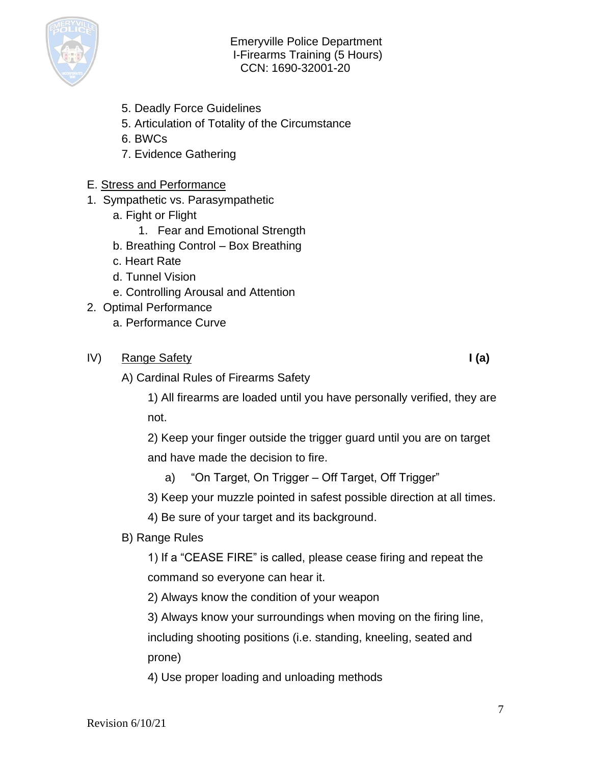

- 5. Deadly Force Guidelines
- 5. Articulation of Totality of the Circumstance
- 6. BWCs
- 7. Evidence Gathering

## E. Stress and Performance

- 1. Sympathetic vs. Parasympathetic
	- a. Fight or Flight
		- 1. Fear and Emotional Strength
	- b. Breathing Control Box Breathing
	- c. Heart Rate
	- d. Tunnel Vision
	- e. Controlling Arousal and Attention
- 2. Optimal Performance
	- a. Performance Curve
- IV) Range Safety **I (a)**

A) Cardinal Rules of Firearms Safety

1) All firearms are loaded until you have personally verified, they are not.

2) Keep your finger outside the trigger guard until you are on target and have made the decision to fire.

a) "On Target, On Trigger – Off Target, Off Trigger"

3) Keep your muzzle pointed in safest possible direction at all times.

4) Be sure of your target and its background.

B) Range Rules

1) If a "CEASE FIRE" is called, please cease firing and repeat the command so everyone can hear it.

2) Always know the condition of your weapon

3) Always know your surroundings when moving on the firing line,

including shooting positions (i.e. standing, kneeling, seated and prone)

4) Use proper loading and unloading methods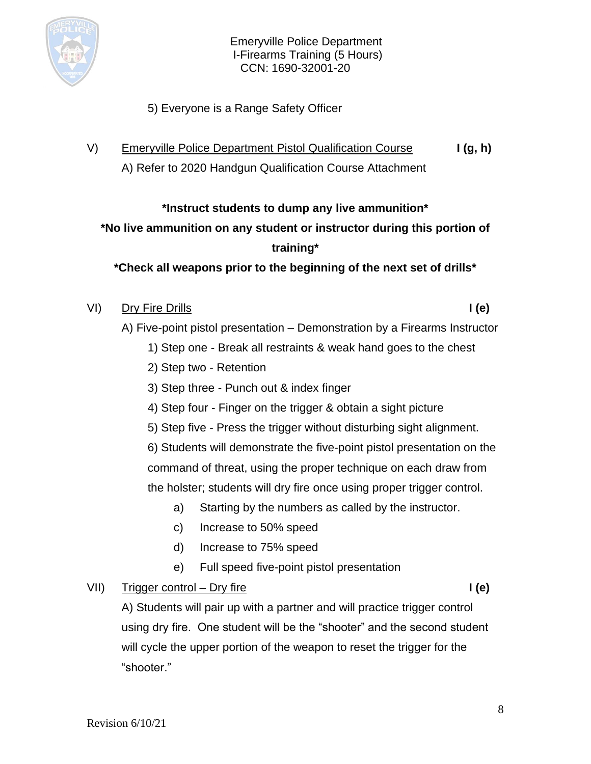

- 5) Everyone is a Range Safety Officer
- V) Emeryville Police Department Pistol Qualification Course **I (g, h)** A) Refer to 2020 Handgun Qualification Course Attachment

## **\*Instruct students to dump any live ammunition\***

# **\*No live ammunition on any student or instructor during this portion of training\***

**\*Check all weapons prior to the beginning of the next set of drills\***

## VI) Dry Fire Drills **I (e)**

- A) Five-point pistol presentation Demonstration by a Firearms Instructor
	- 1) Step one Break all restraints & weak hand goes to the chest
	- 2) Step two Retention
	- 3) Step three Punch out & index finger
	- 4) Step four Finger on the trigger & obtain a sight picture
	- 5) Step five Press the trigger without disturbing sight alignment.

6) Students will demonstrate the five-point pistol presentation on the command of threat, using the proper technique on each draw from the holster; students will dry fire once using proper trigger control.

- a) Starting by the numbers as called by the instructor.
- c) Increase to 50% speed
- d) Increase to 75% speed
- e) Full speed five-point pistol presentation

## VII) Trigger control – Dry fire **I** (e)

A) Students will pair up with a partner and will practice trigger control using dry fire. One student will be the "shooter" and the second student will cycle the upper portion of the weapon to reset the trigger for the "shooter."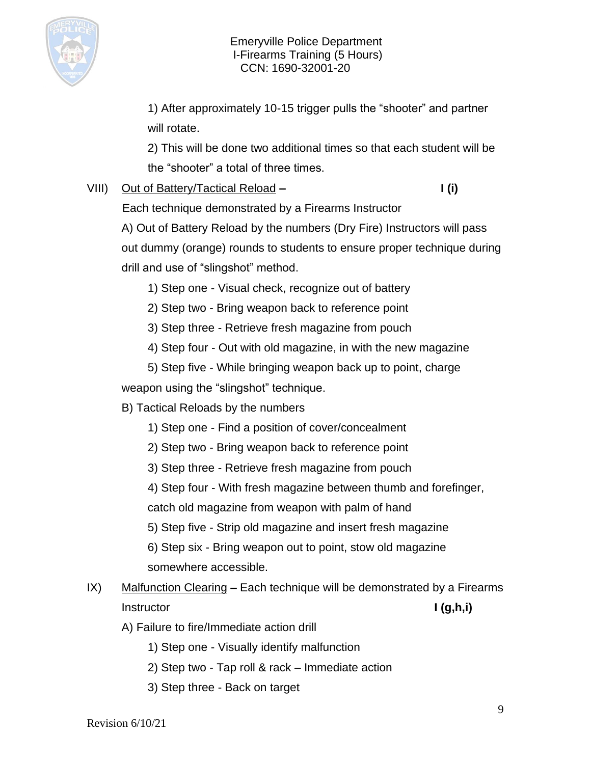

1) After approximately 10-15 trigger pulls the "shooter" and partner will rotate.

2) This will be done two additional times so that each student will be the "shooter" a total of three times.

## VIII) Out of Battery/Tactical Reload **– I (i)**

Each technique demonstrated by a Firearms Instructor

A) Out of Battery Reload by the numbers (Dry Fire) Instructors will pass out dummy (orange) rounds to students to ensure proper technique during drill and use of "slingshot" method.

- 1) Step one Visual check, recognize out of battery
- 2) Step two Bring weapon back to reference point
- 3) Step three Retrieve fresh magazine from pouch
- 4) Step four Out with old magazine, in with the new magazine
- 5) Step five While bringing weapon back up to point, charge

weapon using the "slingshot" technique.

B) Tactical Reloads by the numbers

1) Step one - Find a position of cover/concealment

2) Step two - Bring weapon back to reference point

3) Step three - Retrieve fresh magazine from pouch

4) Step four - With fresh magazine between thumb and forefinger,

catch old magazine from weapon with palm of hand

5) Step five - Strip old magazine and insert fresh magazine

6) Step six - Bring weapon out to point, stow old magazine somewhere accessible.

- IX) Malfunction Clearing **–** Each technique will be demonstrated by a Firearms Instructor **I (g,h,i)**
	- A) Failure to fire/Immediate action drill
		- 1) Step one Visually identify malfunction
		- 2) Step two Tap roll & rack Immediate action
		- 3) Step three Back on target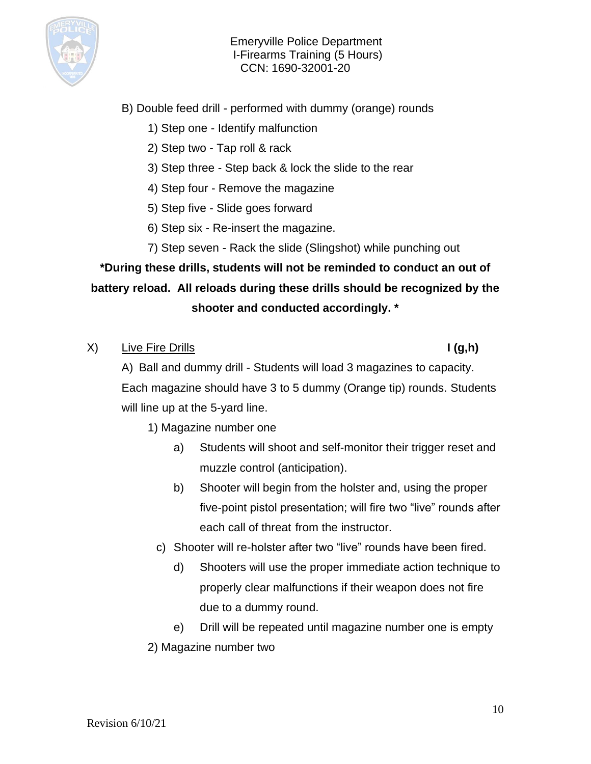

- B) Double feed drill performed with dummy (orange) rounds
	- 1) Step one Identify malfunction
	- 2) Step two Tap roll & rack
	- 3) Step three Step back & lock the slide to the rear
	- 4) Step four Remove the magazine
	- 5) Step five Slide goes forward
	- 6) Step six Re-insert the magazine.
	- 7) Step seven Rack the slide (Slingshot) while punching out

**\*During these drills, students will not be reminded to conduct an out of battery reload. All reloads during these drills should be recognized by the shooter and conducted accordingly. \***

X) Live Fire Drills **I (g,h)**

A) Ball and dummy drill - Students will load 3 magazines to capacity. Each magazine should have 3 to 5 dummy (Orange tip) rounds. Students will line up at the 5-yard line.

1) Magazine number one

- a) Students will shoot and self-monitor their trigger reset and muzzle control (anticipation).
- b) Shooter will begin from the holster and, using the proper five-point pistol presentation; will fire two "live" rounds after each call of threat from the instructor.
- c) Shooter will re-holster after two "live" rounds have been fired.
	- d) Shooters will use the proper immediate action technique to properly clear malfunctions if their weapon does not fire due to a dummy round.

e) Drill will be repeated until magazine number one is empty 2) Magazine number two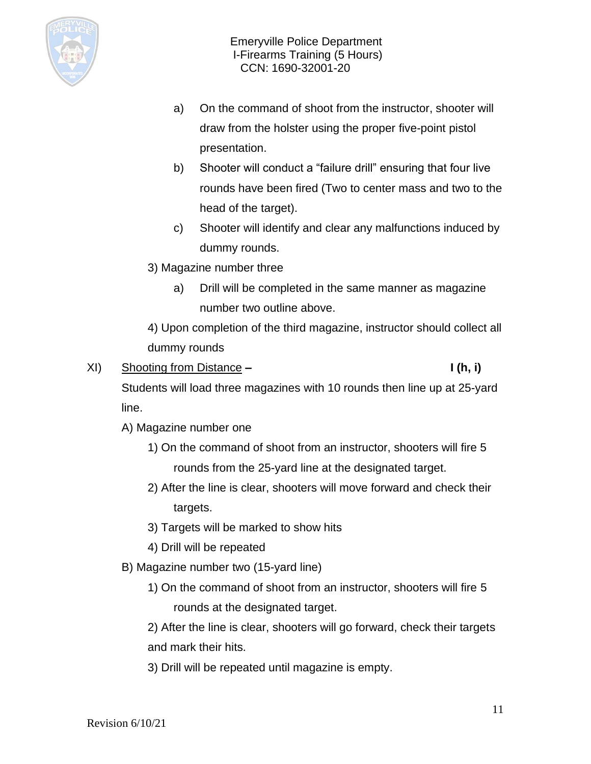

- a) On the command of shoot from the instructor, shooter will draw from the holster using the proper five-point pistol presentation.
- b) Shooter will conduct a "failure drill" ensuring that four live rounds have been fired (Two to center mass and two to the head of the target).
- c) Shooter will identify and clear any malfunctions induced by dummy rounds.
- 3) Magazine number three
	- a) Drill will be completed in the same manner as magazine number two outline above.

4) Upon completion of the third magazine, instructor should collect all dummy rounds

XI) Shooting from Distance **– I (h, i)**

Students will load three magazines with 10 rounds then line up at 25-yard line.

- A) Magazine number one
	- 1) On the command of shoot from an instructor, shooters will fire 5 rounds from the 25-yard line at the designated target.
	- 2) After the line is clear, shooters will move forward and check their targets.
	- 3) Targets will be marked to show hits
	- 4) Drill will be repeated
- B) Magazine number two (15-yard line)
	- 1) On the command of shoot from an instructor, shooters will fire 5 rounds at the designated target.

2) After the line is clear, shooters will go forward, check their targets and mark their hits.

3) Drill will be repeated until magazine is empty.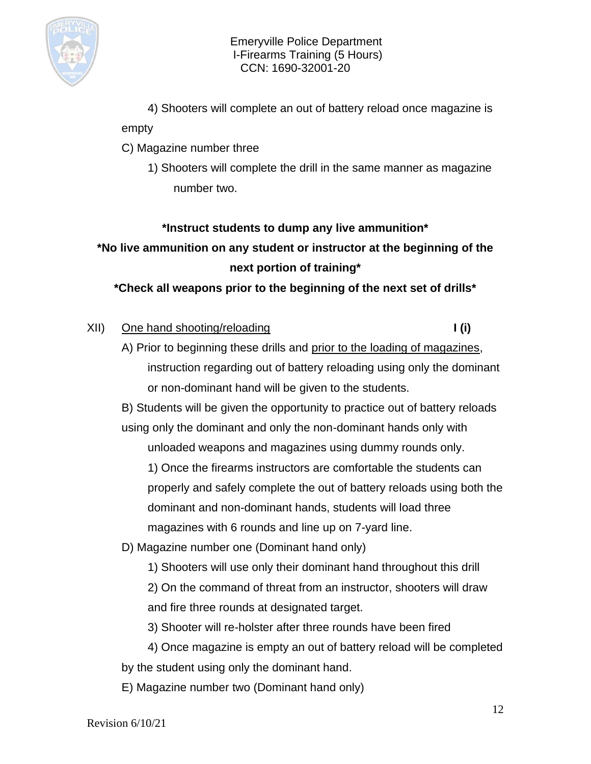

4) Shooters will complete an out of battery reload once magazine is

### empty

- C) Magazine number three
	- 1) Shooters will complete the drill in the same manner as magazine number two.

## **\*Instruct students to dump any live ammunition\***

**\*No live ammunition on any student or instructor at the beginning of the next portion of training\***

**\*Check all weapons prior to the beginning of the next set of drills\***

## XII) One hand shooting/reloading **I (i)** I (i)

A) Prior to beginning these drills and prior to the loading of magazines, instruction regarding out of battery reloading using only the dominant or non-dominant hand will be given to the students.

B) Students will be given the opportunity to practice out of battery reloads using only the dominant and only the non-dominant hands only with unloaded weapons and magazines using dummy rounds only.

1) Once the firearms instructors are comfortable the students can properly and safely complete the out of battery reloads using both the dominant and non-dominant hands, students will load three magazines with 6 rounds and line up on 7-yard line.

D) Magazine number one (Dominant hand only)

1) Shooters will use only their dominant hand throughout this drill

2) On the command of threat from an instructor, shooters will draw and fire three rounds at designated target.

- 3) Shooter will re-holster after three rounds have been fired
- 4) Once magazine is empty an out of battery reload will be completed by the student using only the dominant hand.
- E) Magazine number two (Dominant hand only)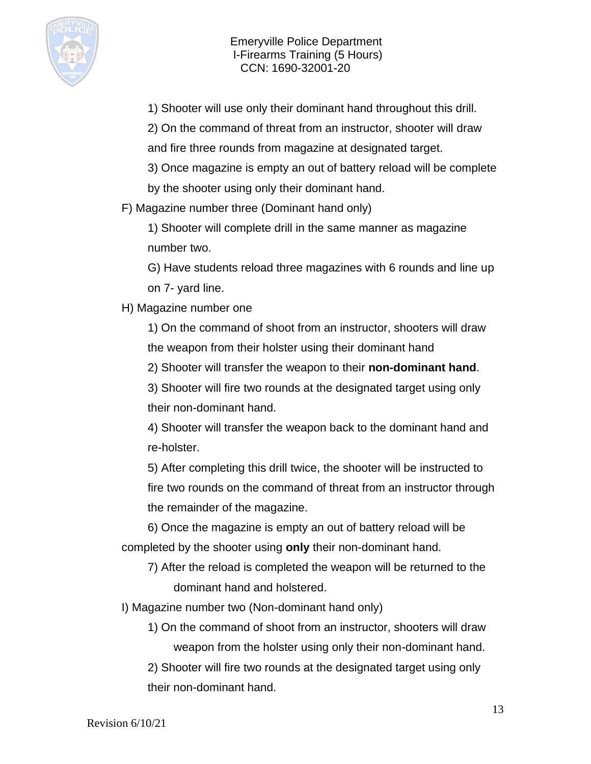

1) Shooter will use only their dominant hand throughout this drill.

2) On the command of threat from an instructor, shooter will draw and fire three rounds from magazine at designated target.

3) Once magazine is empty an out of battery reload will be complete by the shooter using only their dominant hand.

F) Magazine number three (Dominant hand only)

1) Shooter will complete drill in the same manner as magazine number two.

G) Have students reload three magazines with 6 rounds and line up on 7- yard line.

H) Magazine number one

1) On the command of shoot from an instructor, shooters will draw the weapon from their holster using their dominant hand

2) Shooter will transfer the weapon to their **non-dominant hand**.

3) Shooter will fire two rounds at the designated target using only their non-dominant hand.

4) Shooter will transfer the weapon back to the dominant hand and re-holster.

5) After completing this drill twice, the shooter will be instructed to fire two rounds on the command of threat from an instructor through the remainder of the magazine.

6) Once the magazine is empty an out of battery reload will be completed by the shooter using **only** their non-dominant hand.

7) After the reload is completed the weapon will be returned to the dominant hand and holstered.

I) Magazine number two (Non-dominant hand only)

1) On the command of shoot from an instructor, shooters will draw weapon from the holster using only their non-dominant hand.

2) Shooter will fire two rounds at the designated target using only their non-dominant hand.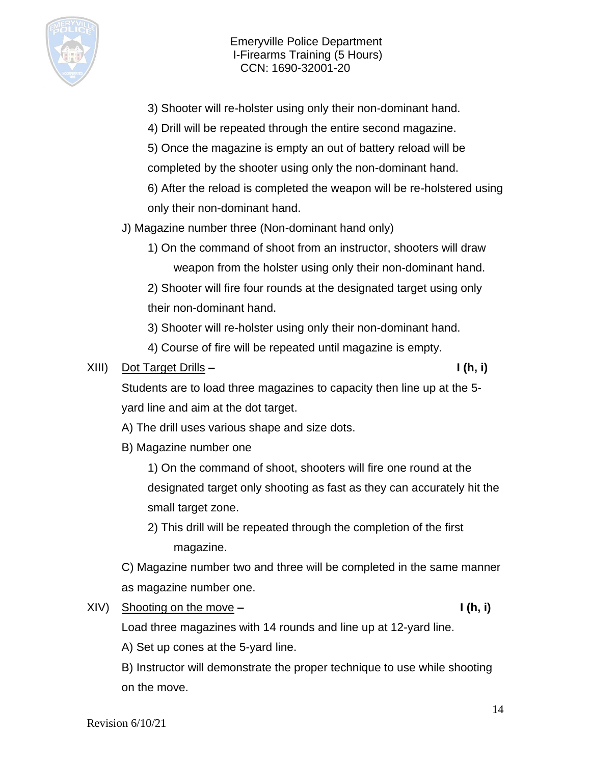

- 3) Shooter will re-holster using only their non-dominant hand.
- 4) Drill will be repeated through the entire second magazine.
- 5) Once the magazine is empty an out of battery reload will be completed by the shooter using only the non-dominant hand.
- 6) After the reload is completed the weapon will be re-holstered using only their non-dominant hand.

J) Magazine number three (Non-dominant hand only)

1) On the command of shoot from an instructor, shooters will draw weapon from the holster using only their non-dominant hand.

2) Shooter will fire four rounds at the designated target using only their non-dominant hand.

- 3) Shooter will re-holster using only their non-dominant hand.
- 4) Course of fire will be repeated until magazine is empty.

### XIII) Dot Target Drills **– I (h, i)**

Students are to load three magazines to capacity then line up at the 5 yard line and aim at the dot target.

- A) The drill uses various shape and size dots.
- B) Magazine number one

1) On the command of shoot, shooters will fire one round at the designated target only shooting as fast as they can accurately hit the small target zone.

2) This drill will be repeated through the completion of the first magazine.

C) Magazine number two and three will be completed in the same manner as magazine number one.

XIV) Shooting on the move – **I (h, i)** 

Load three magazines with 14 rounds and line up at 12-yard line.

A) Set up cones at the 5-yard line.

B) Instructor will demonstrate the proper technique to use while shooting on the move.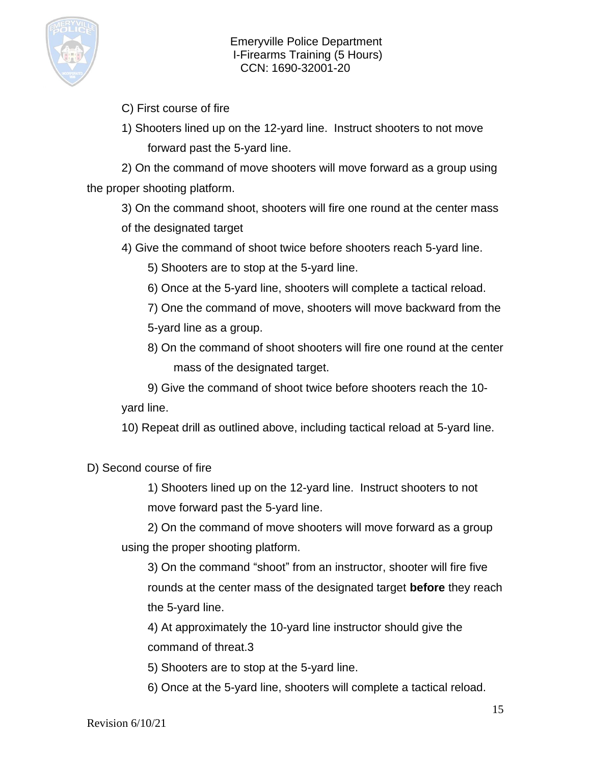

- C) First course of fire
- 1) Shooters lined up on the 12-yard line. Instruct shooters to not move forward past the 5-yard line.

2) On the command of move shooters will move forward as a group using the proper shooting platform.

3) On the command shoot, shooters will fire one round at the center mass of the designated target

- 4) Give the command of shoot twice before shooters reach 5-yard line.
	- 5) Shooters are to stop at the 5-yard line.
	- 6) Once at the 5-yard line, shooters will complete a tactical reload.
	- 7) One the command of move, shooters will move backward from the 5-yard line as a group.
	- 8) On the command of shoot shooters will fire one round at the center mass of the designated target.

9) Give the command of shoot twice before shooters reach the 10 yard line.

10) Repeat drill as outlined above, including tactical reload at 5-yard line.

D) Second course of fire

1) Shooters lined up on the 12-yard line. Instruct shooters to not move forward past the 5-yard line.

2) On the command of move shooters will move forward as a group using the proper shooting platform.

3) On the command "shoot" from an instructor, shooter will fire five rounds at the center mass of the designated target **before** they reach the 5-yard line.

4) At approximately the 10-yard line instructor should give the command of threat.3

5) Shooters are to stop at the 5-yard line.

6) Once at the 5-yard line, shooters will complete a tactical reload.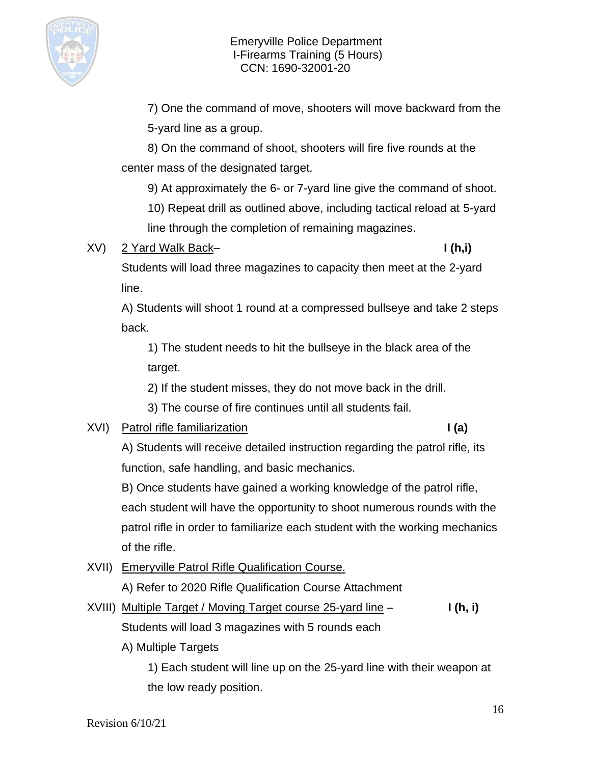

7) One the command of move, shooters will move backward from the 5-yard line as a group.

8) On the command of shoot, shooters will fire five rounds at the center mass of the designated target.

9) At approximately the 6- or 7-yard line give the command of shoot.

10) Repeat drill as outlined above, including tactical reload at 5-yard line through the completion of remaining magazines.

# XV) 2 Yard Walk Back– **I (h,i)**

Students will load three magazines to capacity then meet at the 2-yard line.

A) Students will shoot 1 round at a compressed bullseye and take 2 steps back.

1) The student needs to hit the bullseye in the black area of the target.

2) If the student misses, they do not move back in the drill.

3) The course of fire continues until all students fail.

# XVI) Patrol rifle familiarization **I (a)**

A) Students will receive detailed instruction regarding the patrol rifle, its function, safe handling, and basic mechanics.

B) Once students have gained a working knowledge of the patrol rifle, each student will have the opportunity to shoot numerous rounds with the patrol rifle in order to familiarize each student with the working mechanics of the rifle.

XVII) Emeryville Patrol Rifle Qualification Course.

A) Refer to 2020 Rifle Qualification Course Attachment

- XVIII) Multiple Target / Moving Target course 25-yard line **I (h, i)** Students will load 3 magazines with 5 rounds each
	- A) Multiple Targets

1) Each student will line up on the 25-yard line with their weapon at the low ready position.